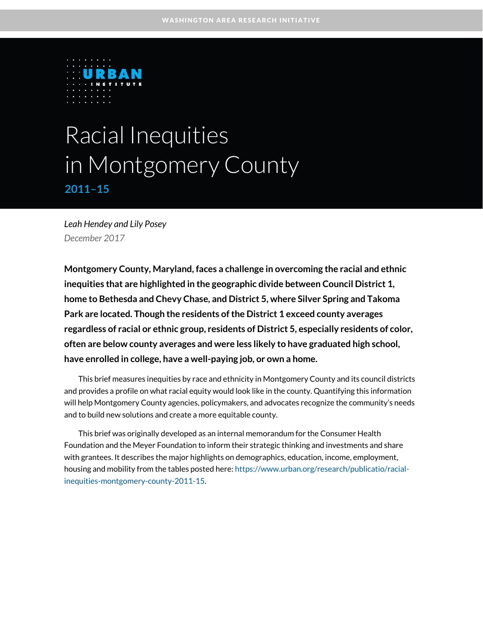

# Racial Inequities in Montgomery County **2011–15**

*Leah Hendey and Lily Posey December 2017*

**Montgomery County, Maryland, faces a challenge in overcoming the racial and ethnic inequities that are highlighted in the geographic divide between Council District 1, home to Bethesda and Chevy Chase, and District 5, where Silver Spring and Takoma Park are located. Though the residents of the District 1 exceed county averages regardless of racial or ethnic group, residents of District 5, especially residents of color, often are below county averages and were less likely to have graduated high school, have enrolled in college, have a well-paying job, or own a home.**

This brief measures inequities by race and ethnicity in Montgomery County and its council districts and provides a profile on what racial equity would look like in the county. Quantifying this information will help Montgomery County agencies, policymakers, and advocates recognize the community's needs and to build new solutions and create a more equitable county.

This brief was originally developed as an internal memorandum for the Consumer Health Foundation and the Meyer Foundation to inform their strategic thinking and investments and share with grantees. It describes the major highlights on demographics, education, income, employment, housing and mobility from the tables posted here[: https://www.urban.org/research/publicatio/racial](https://www.urban.org/research/publication/racial-inequities-montgomery-county-2011-15)[inequities-montgomery-county-2011-15.](https://www.urban.org/research/publication/racial-inequities-montgomery-county-2011-15)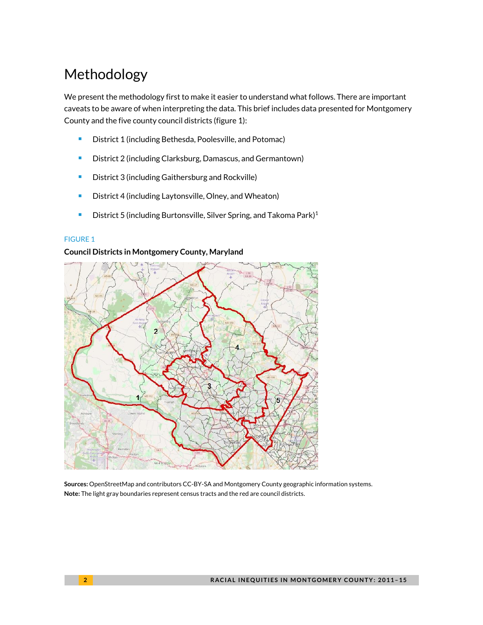# Methodology

We present the methodology first to make it easier to understand what follows. There are important caveats to be aware of when interpreting the data. This brief includes data presented for Montgomery County and the five county council districts (figure 1):

- **District 1 (including Bethesda, Poolesville, and Potomac)**
- **District 2 (including Clarksburg, Damascus, and Germantown)**
- **•** District 3 (including Gaithersburg and Rockville)
- **District 4 (including Laytonsville, Olney, and Wheaton)**
- District 5 (including Burtonsville, Silver Spring, and Takoma Park[\)](#page-16-0)<sup>1</sup>

### FIGURE 1

### **Council Districts in Montgomery County, Maryland**



**Sources:** OpenStreetMap and contributors CC-BY-SA and Montgomery County geographic information systems. **Note:** The light gray boundaries represent census tracts and the red are council districts.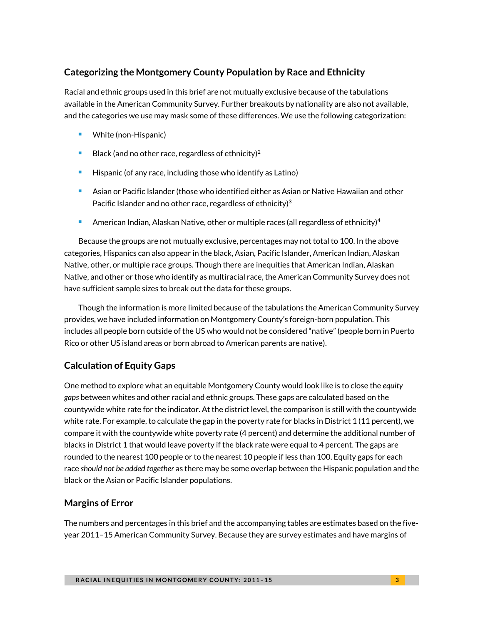### **Categorizing the Montgomery County Population by Race and Ethnicity**

Racial and ethnic groups used in this brief are not mutually exclusive because of the tabulations available in the American Community Survey. Further breakouts by nationality are also not available, and the categories we use may mask some of these differences. We use the following categorization:

- White (non-Hispanic)
- Black (and no other race, regardless of ethnicity[\)](#page-16-1)<sup>2</sup>
- Hispanic (of any race, including those who identify as Latino)
- **Asian or Pacific Islander (those who identified either as Asian or Native Hawaiian and other** Pacific Islander and no other race, regardless of ethnicity) $3$
- American Indian, Alaskan Native, other or multiple races (all regardless of ethnicity[\)](#page-16-3)<sup>4</sup>

Because the groups are not mutually exclusive, percentages may not total to 100. In the above categories, Hispanics can also appear in the black, Asian, Pacific Islander, American Indian, Alaskan Native, other, or multiple race groups. Though there are inequities that American Indian, Alaskan Native, and other or those who identify as multiracial race, the American Community Survey does not have sufficient sample sizes to break out the data for these groups.

Though the information is more limited because of the tabulations the American Community Survey provides, we have included information on Montgomery County's foreign-born population. This includes all people born outside of the US who would not be considered "native" (people born in Puerto Rico or other US island areas or born abroad to American parents are native).

### **Calculation of Equity Gaps**

One method to explore what an equitable Montgomery County would look like is to close the *equity gaps* between whites and other racial and ethnic groups. These gaps are calculated based on the countywide white rate for the indicator. At the district level, the comparison is still with the countywide white rate. For example, to calculate the gap in the poverty rate for blacks in District 1 (11 percent), we compare it with the countywide white poverty rate (4 percent) and determine the additional number of blacks in District 1 that would leave poverty if the black rate were equal to 4 percent. The gaps are rounded to the nearest 100 people or to the nearest 10 people if less than 100. Equity gaps for each race *should not be added together* as there may be some overlap between the Hispanic population and the black or the Asian or Pacific Islander populations.

### **Margins of Error**

The numbers and percentages in this brief and the accompanying tables are estimates based on the fiveyear 2011–15 American Community Survey. Because they are survey estimates and have margins of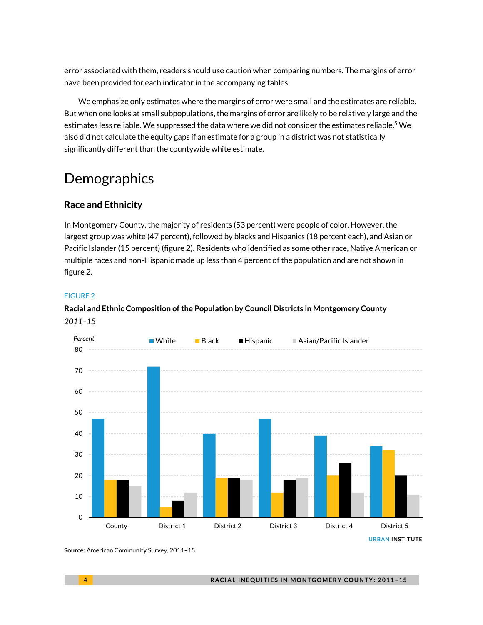error associated with them, readers should use caution when comparing numbers. The margins of error have been provided for each indicator in the accompanying tables.

We emphasize only estimates where the margins of error were small and the estimates are reliable. But when one looks at small subpopulations, the margins of error are likely to be relatively large and the estimates less reliable. We suppressed the data where we did not consider the estimates reliable.<sup>[5](#page-16-4)</sup> We also did not calculate the equity gaps if an estimate for a group in a district was not statistically significantly different than the countywide white estimate.

# **Demographics**

### **Race and Ethnicity**

In Montgomery County, the majority of residents (53 percent) were people of color. However, the largest group was white (47 percent), followed by blacks and Hispanics (18 percent each), and Asian or Pacific Islander (15 percent) (figure 2). Residents who identified as some other race, Native American or multiple races and non-Hispanic made up less than 4 percent of the population and are not shown in figure 2.

### FIGURE 2

### **Racial and Ethnic Composition of the Population by Council Districts in Montgomery County** *2011–15*



**Source:** American Community Survey, 2011–15.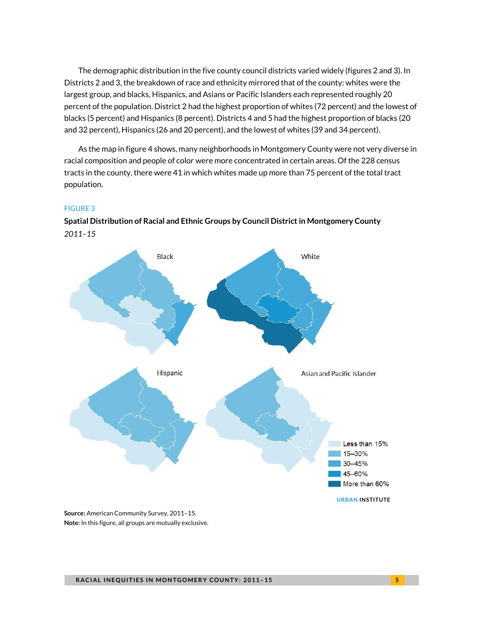The demographic distribution in the five county council districts varied widely (figures 2 and 3). In Districts 2 and 3, the breakdown of race and ethnicity mirrored that of the county: whites were the largest group, and blacks, Hispanics, and Asians or Pacific Islanders each represented roughly 20 percent of the population. District 2 had the highest proportion of whites (72 percent) and the lowest of blacks (5 percent) and Hispanics (8 percent). Districts 4 and 5 had the highest proportion of blacks (20 and 32 percent), Hispanics (26 and 20 percent), and the lowest of whites (39 and 34 percent).

As the map in figure 4 shows, many neighborhoods in Montgomery County were not very diverse in racial composition and people of color were more concentrated in certain areas. Of the 228 census tracts in the county, there were 41 in which whites made up more than 75 percent of the total tract population.

### FIGURE 3



**Spatial Distribution of Racial and Ethnic Groups by Council District in Montgomery County** *2011–15*

**Source:** American Community Survey, 2011–15. **Note:** In this figure, all groups are mutually exclusive.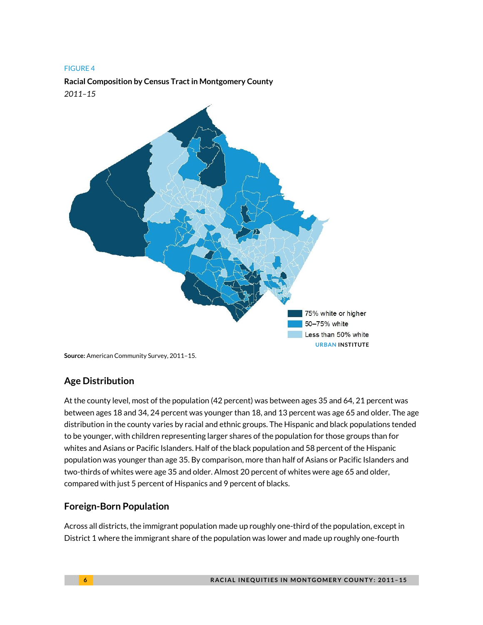**Racial Composition by Census Tract in Montgomery County** *2011–15*



**Source:** American Community Survey, 2011–15.

### **Age Distribution**

At the county level, most of the population (42 percent) was between ages 35 and 64, 21 percent was between ages 18 and 34, 24 percent was younger than 18, and 13 percent was age 65 and older. The age distribution in the county varies by racial and ethnic groups. The Hispanic and black populations tended to be younger, with children representing larger shares of the population for those groups than for whites and Asians or Pacific Islanders. Half of the black population and 58 percent of the Hispanic population was younger than age 35. By comparison, more than half of Asians or Pacific Islanders and two-thirds of whites were age 35 and older. Almost 20 percent of whites were age 65 and older, compared with just 5 percent of Hispanics and 9 percent of blacks.

### **Foreign-Born Population**

Across all districts, the immigrant population made up roughly one-third of the population, except in District 1 where the immigrant share of the population was lower and made up roughly one-fourth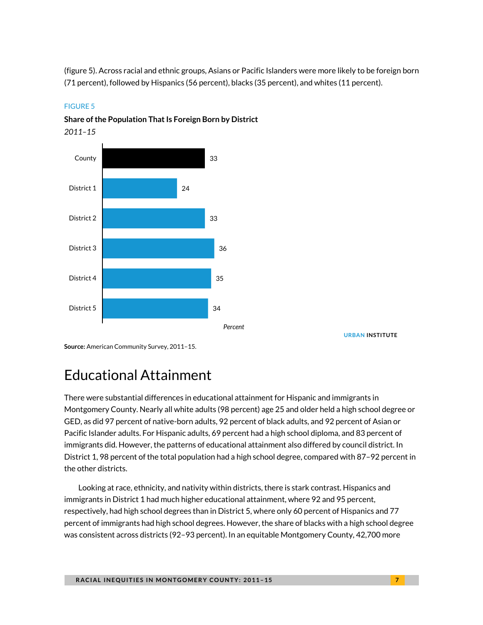(figure 5). Across racial and ethnic groups, Asians or Pacific Islanders were more likely to be foreign born (71 percent), followed by Hispanics (56 percent), blacks (35 percent), and whites (11 percent).



### FIGURE 5

**Share of the Population That Is Foreign Born by District**

**URBAN INSTITUTE**

**Source:** American Community Survey, 2011–15.

### Educational Attainment

There were substantial differences in educational attainment for Hispanic and immigrants in Montgomery County. Nearly all white adults (98 percent) age 25 and older held a high school degree or GED, as did 97 percent of native-born adults, 92 percent of black adults, and 92 percent of Asian or Pacific Islander adults. For Hispanic adults, 69 percent had a high school diploma, and 83 percent of immigrants did. However, the patterns of educational attainment also differed by council district. In District 1, 98 percent of the total population had a high school degree, compared with 87–92 percent in the other districts.

Looking at race, ethnicity, and nativity within districts, there is stark contrast. Hispanics and immigrants in District 1 had much higher educational attainment, where 92 and 95 percent, respectively, had high school degrees than in District 5, where only 60 percent of Hispanics and 77 percent of immigrants had high school degrees. However, the share of blacks with a high school degree was consistent across districts (92–93 percent). In an equitable Montgomery County, 42,700 more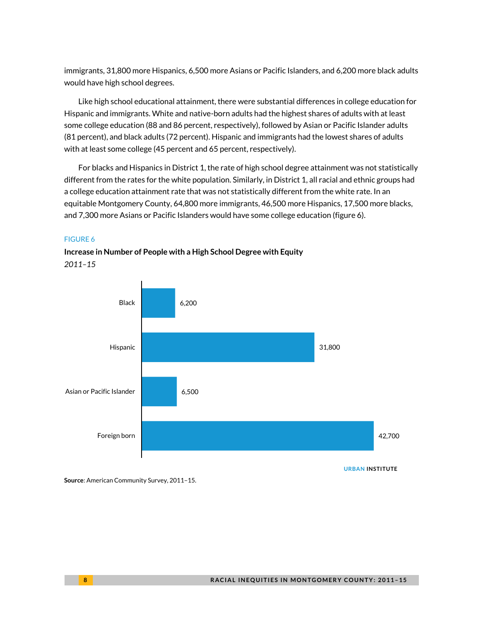immigrants, 31,800 more Hispanics, 6,500 more Asians or Pacific Islanders, and 6,200 more black adults would have high school degrees.

Like high school educational attainment, there were substantial differences in college education for Hispanic and immigrants. White and native-born adults had the highest shares of adults with at least some college education (88 and 86 percent, respectively), followed by Asian or Pacific Islander adults (81 percent), and black adults (72 percent). Hispanic and immigrants had the lowest shares of adults with at least some college (45 percent and 65 percent, respectively).

For blacks and Hispanics in District 1, the rate of high school degree attainment was not statistically different from the rates for the white population. Similarly, in District 1, all racial and ethnic groups had a college education attainment rate that was not statistically different from the white rate. In an equitable Montgomery County, 64,800 more immigrants, 46,500 more Hispanics, 17,500 more blacks, and 7,300 more Asians or Pacific Islanders would have some college education (figure 6).

### FIGURE 6

**Increase in Number of People with a High School Degree with Equity** *2011–15*



**Source**: American Community Survey, 2011–15.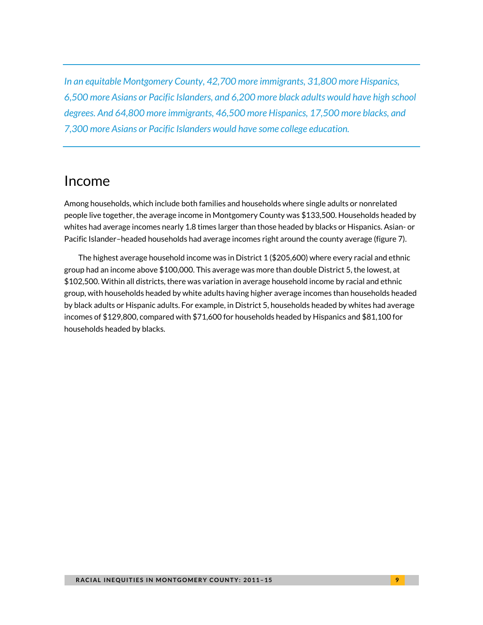*In an equitable Montgomery County, 42,700 more immigrants, 31,800 more Hispanics, 6,500 more Asians or Pacific Islanders, and 6,200 more black adults would have high school degrees. And 64,800 more immigrants, 46,500 more Hispanics, 17,500 more blacks, and 7,300 more Asians or Pacific Islanders would have some college education.*

### Income

Among households, which include both families and households where single adults or nonrelated people live together, the average income in Montgomery County was \$133,500. Households headed by whites had average incomes nearly 1.8 times larger than those headed by blacks or Hispanics. Asian- or Pacific Islander–headed households had average incomes right around the county average (figure 7).

The highest average household income was in District 1 (\$205,600) where every racial and ethnic group had an income above \$100,000. This average was more than double District 5, the lowest, at \$102,500. Within all districts, there was variation in average household income by racial and ethnic group, with households headed by white adults having higher average incomes than households headed by black adults or Hispanic adults. For example, in District 5, households headed by whites had average incomes of \$129,800, compared with \$71,600 for households headed by Hispanics and \$81,100 for households headed by blacks.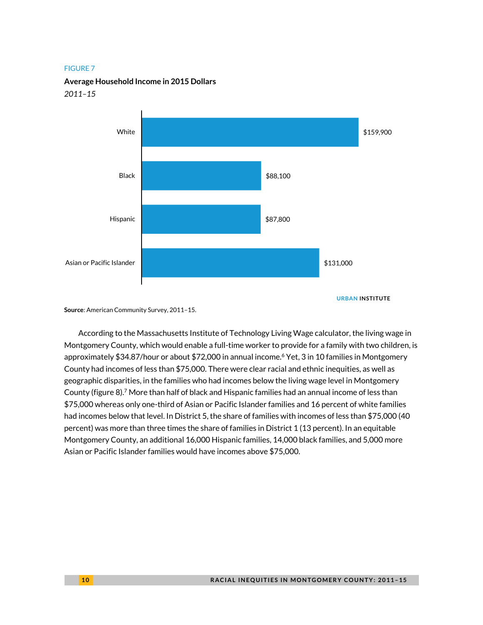**Average Household Income in 2015 Dollars**

#### *2011–15*



**URBAN INSTITUTE**

**Source**: American Community Survey, 2011–15.

According to the Massachusetts Institute of Technology Living Wage calculator, the living wage in Montgomery County, which would enable a full-time worker to provide for a family with two children, is approximately \$34.87/hour or about \$72,000 in annual income.<sup>[6](#page-16-5)</sup> Yet, 3 in 10 families in Montgomery County had incomes of less than \$75,000. There were clear racial and ethnic inequities, as well as geographic disparities, in the families who had incomes below the living wage level in Montgomery County (figure 8[\).](#page-16-6) <sup>7</sup> More than half of black and Hispanic families had an annual income of less than \$75,000 whereas only one-third of Asian or Pacific Islander families and 16 percent of white families had incomes below that level. In District 5, the share of families with incomes of less than \$75,000 (40 percent) was more than three times the share of families in District 1 (13 percent). In an equitable Montgomery County, an additional 16,000 Hispanic families, 14,000 black families, and 5,000 more Asian or Pacific Islander families would have incomes above \$75,000.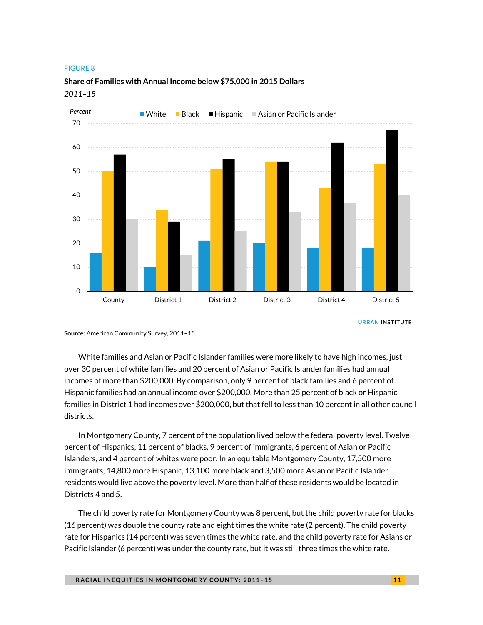

### **Share of Families with Annual Income below \$75,000 in 2015 Dollars** *2011–15*

**URBAN INSTITUTE**

**Source**: American Community Survey, 2011–15.

White families and Asian or Pacific Islander families were more likely to have high incomes, just over 30 percent of white families and 20 percent of Asian or Pacific Islander families had annual incomes of more than \$200,000. By comparison, only 9 percent of black families and 6 percent of Hispanic families had an annual income over \$200,000. More than 25 percent of black or Hispanic families in District 1 had incomes over \$200,000, but that fell to less than 10 percent in all other council districts.

In Montgomery County, 7 percent of the population lived below the federal poverty level. Twelve percent of Hispanics, 11 percent of blacks, 9 percent of immigrants, 6 percent of Asian or Pacific Islanders, and 4 percent of whites were poor. In an equitable Montgomery County, 17,500 more immigrants, 14,800 more Hispanic, 13,100 more black and 3,500 more Asian or Pacific Islander residents would live above the poverty level. More than half of these residents would be located in Districts 4 and 5.

The child poverty rate for Montgomery County was 8 percent, but the child poverty rate for blacks (16 percent) was double the county rate and eight times the white rate (2 percent). The child poverty rate for Hispanics (14 percent) was seven times the white rate, and the child poverty rate for Asians or Pacific Islander (6 percent) was under the county rate, but it was still three times the white rate.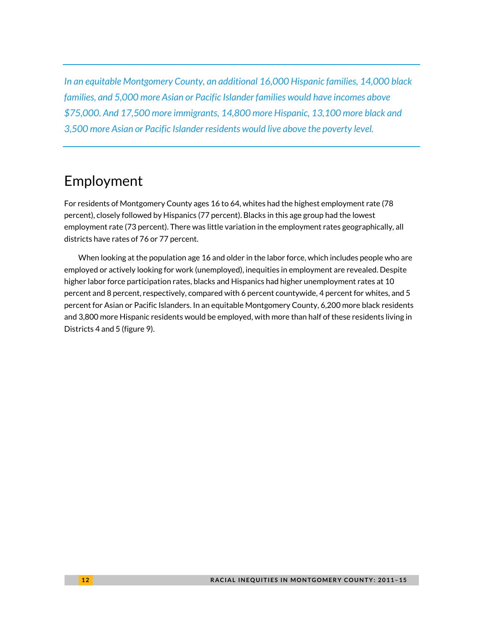*In an equitable Montgomery County, an additional 16,000 Hispanic families, 14,000 black families, and 5,000 more Asian or Pacific Islander families would have incomes above \$75,000. And 17,500 more immigrants, 14,800 more Hispanic, 13,100 more black and 3,500 more Asian or Pacific Islander residents would live above the poverty level.*

# Employment

For residents of Montgomery County ages 16 to 64, whites had the highest employment rate (78 percent), closely followed by Hispanics (77 percent). Blacks in this age group had the lowest employment rate (73 percent). There was little variation in the employment rates geographically, all districts have rates of 76 or 77 percent.

When looking at the population age 16 and older in the labor force, which includes people who are employed or actively looking for work (unemployed), inequities in employment are revealed. Despite higher labor force participation rates, blacks and Hispanics had higher unemployment rates at 10 percent and 8 percent, respectively, compared with 6 percent countywide, 4 percent for whites, and 5 percent for Asian or Pacific Islanders. In an equitable Montgomery County, 6,200 more black residents and 3,800 more Hispanic residents would be employed, with more than half of these residents living in Districts 4 and 5 (figure 9).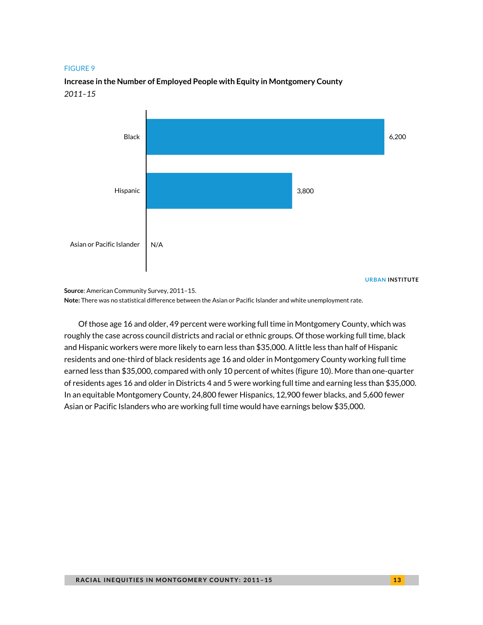### **Increase in the Number of Employed People with Equity in Montgomery County** *2011–15*



**Source**: American Community Survey, 2011–15. **Note:** There was no statistical difference between the Asian or Pacific Islander and white unemployment rate.

Of those age 16 and older, 49 percent were working full time in Montgomery County, which was roughly the case across council districts and racial or ethnic groups. Of those working full time, black and Hispanic workers were more likely to earn less than \$35,000. A little less than half of Hispanic residents and one-third of black residents age 16 and older in Montgomery County working full time earned less than \$35,000, compared with only 10 percent of whites (figure 10). More than one-quarter of residents ages 16 and older in Districts 4 and 5 were working full time and earning less than \$35,000. In an equitable Montgomery County, 24,800 fewer Hispanics, 12,900 fewer blacks, and 5,600 fewer Asian or Pacific Islanders who are working full time would have earnings below \$35,000.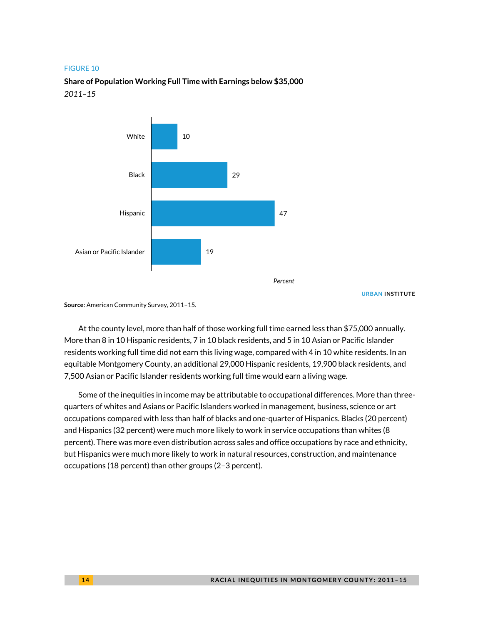**Share of Population Working Full Time with Earnings below \$35,000** *2011–15*



**URBAN INSTITUTE**

**Source**: American Community Survey, 2011–15.

At the county level, more than half of those working full time earned less than \$75,000 annually. More than 8 in 10 Hispanic residents, 7 in 10 black residents, and 5 in 10 Asian or Pacific Islander residents working full time did not earn this living wage, compared with 4 in 10 white residents. In an equitable Montgomery County, an additional 29,000 Hispanic residents, 19,900 black residents, and 7,500 Asian or Pacific Islander residents working full time would earn a living wage.

Some of the inequities in income may be attributable to occupational differences. More than threequarters of whites and Asians or Pacific Islanders worked in management, business, science or art occupations compared with less than half of blacks and one-quarter of Hispanics. Blacks (20 percent) and Hispanics (32 percent) were much more likely to work in service occupations than whites (8 percent). There was more even distribution across sales and office occupations by race and ethnicity, but Hispanics were much more likely to work in natural resources, construction, and maintenance occupations (18 percent) than other groups (2–3 percent).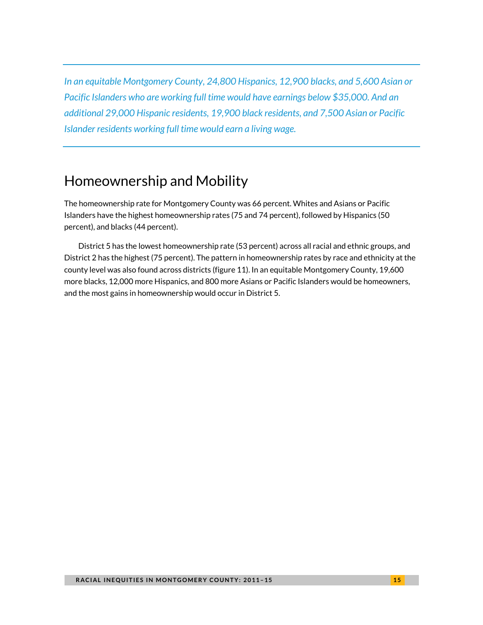*In an equitable Montgomery County, 24,800 Hispanics, 12,900 blacks, and 5,600 Asian or Pacific Islanders who are working full time would have earnings below \$35,000. And an additional 29,000 Hispanic residents, 19,900 black residents, and 7,500 Asian or Pacific Islander residents working full time would earn a living wage.*

## Homeownership and Mobility

The homeownership rate for Montgomery County was 66 percent. Whites and Asians or Pacific Islanders have the highest homeownership rates (75 and 74 percent), followed by Hispanics (50 percent), and blacks (44 percent).

District 5 has the lowest homeownership rate (53 percent) across all racial and ethnic groups, and District 2 has the highest (75 percent). The pattern in homeownership rates by race and ethnicity at the county level was also found across districts (figure 11). In an equitable Montgomery County, 19,600 more blacks, 12,000 more Hispanics, and 800 more Asians or Pacific Islanders would be homeowners, and the most gains in homeownership would occur in District 5.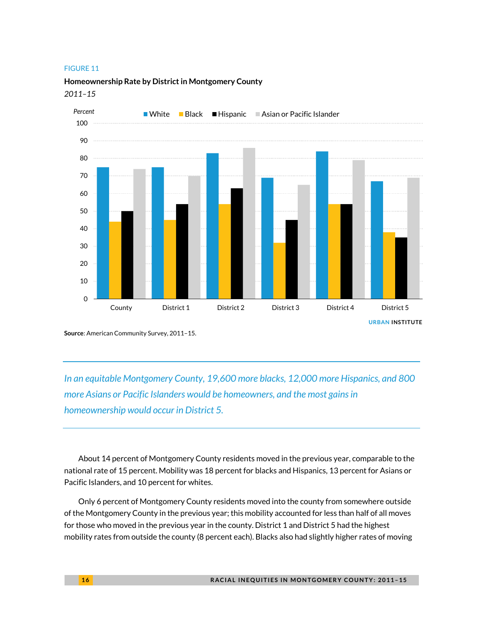**Homeownership Rate by District in Montgomery County**

*2011–15*



**Source**: American Community Survey, 2011–15.

*In an equitable Montgomery County, 19,600 more blacks, 12,000 more Hispanics, and 800 more Asians or Pacific Islanders would be homeowners, and the most gains in homeownership would occur in District 5.* 

About 14 percent of Montgomery County residents moved in the previous year, comparable to the national rate of 15 percent. Mobility was 18 percent for blacks and Hispanics, 13 percent for Asians or Pacific Islanders, and 10 percent for whites.

Only 6 percent of Montgomery County residents moved into the county from somewhere outside of the Montgomery County in the previous year; this mobility accounted for less than half of all moves for those who moved in the previous year in the county. District 1 and District 5 had the highest mobility rates from outside the county (8 percent each). Blacks also had slightly higher rates of moving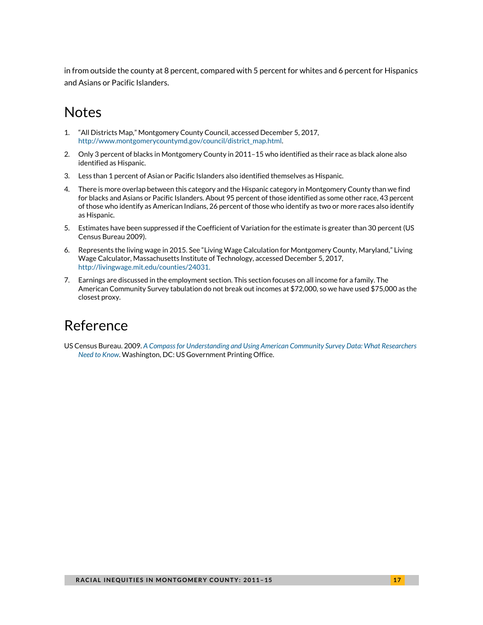in from outside the county at 8 percent, compared with 5 percent for whites and 6 percent for Hispanics and Asians or Pacific Islanders.

### Notes

- <span id="page-16-0"></span>1. "All Districts Map," Montgomery County Council, accessed December 5, 2017, [http://www.montgomerycountymd.gov/council/district\\_map.html.](http://www.montgomerycountymd.gov/council/district_map.html)
- <span id="page-16-1"></span>2. Only 3 percent of blacks in Montgomery County in 2011–15 who identified as their race as black alone also identified as Hispanic.
- <span id="page-16-2"></span>3. Less than 1 percent of Asian or Pacific Islanders also identified themselves as Hispanic.
- <span id="page-16-3"></span>4. There is more overlap between this category and the Hispanic category in Montgomery County than we find for blacks and Asians or Pacific Islanders. About 95 percent of those identified as some other race, 43 percent of those who identify as American Indians, 26 percent of those who identify as two or more races also identify as Hispanic.
- <span id="page-16-4"></span>5. Estimates have been suppressed if the Coefficient of Variation for the estimate is greater than 30 percent (US Census Bureau 2009).
- <span id="page-16-5"></span>6. Represents the living wage in 2015. See "Living Wage Calculation for Montgomery County, Maryland," Living Wage Calculator, Massachusetts Institute of Technology, accessed December 5, 2017, [http://livingwage.mit.edu/counties/24031.](http://livingwage.mit.edu/counties/24031)
- <span id="page-16-6"></span>7. Earnings are discussed in the employment section. This section focuses on all income for a family. The American Community Survey tabulation do not break out incomes at \$72,000, so we have used \$75,000 as the closest proxy.

### Reference

US Census Bureau. 2009. *[A Compass for Understanding and Using American Community Survey Data: What Researchers](https://www.census.gov/content/dam/Census/library/publications/2009/acs/ACSResearch.pdf)  [Need to Know](https://www.census.gov/content/dam/Census/library/publications/2009/acs/ACSResearch.pdf)*. Washington, DC: US Government Printing Office.